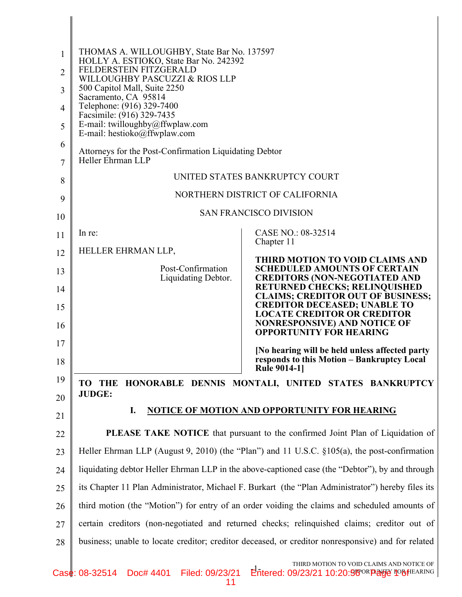| $\mathbf{1}$<br>$\overline{2}$ | THOMAS A. WILLOUGHBY, State Bar No. 137597<br>HOLLY A. ESTIOKO, State Bar No. 242392<br>FELDERSTEIN FITZGERALD |                                                                                                                     |  |
|--------------------------------|----------------------------------------------------------------------------------------------------------------|---------------------------------------------------------------------------------------------------------------------|--|
| 3                              | WILLOUGHBY PASCUZZI & RIOS LLP<br>500 Capitol Mall, Suite 2250                                                 |                                                                                                                     |  |
| $\overline{4}$                 | Sacramento, CA 95814<br>Telephone: (916) 329-7400                                                              |                                                                                                                     |  |
| 5                              | Facsimile: (916) 329-7435<br>E-mail: twilloughby@ffwplaw.com<br>E-mail: hestioko@ffwplaw.com                   |                                                                                                                     |  |
| 6<br>$\overline{7}$            | Attorneys for the Post-Confirmation Liquidating Debtor<br>Heller Ehrman LLP                                    |                                                                                                                     |  |
| 8                              | UNITED STATES BANKRUPTCY COURT                                                                                 |                                                                                                                     |  |
| 9                              | NORTHERN DISTRICT OF CALIFORNIA                                                                                |                                                                                                                     |  |
| 10                             | <b>SAN FRANCISCO DIVISION</b>                                                                                  |                                                                                                                     |  |
| 11                             | In re:                                                                                                         | CASE NO.: 08-32514                                                                                                  |  |
| 12                             | HELLER EHRMAN LLP,                                                                                             | Chapter 11                                                                                                          |  |
| 13                             | Post-Confirmation                                                                                              | THIRD MOTION TO VOID CLAIMS AND<br><b>SCHEDULED AMOUNTS OF CERTAIN</b>                                              |  |
| 14                             | Liquidating Debtor.                                                                                            | <b>CREDITORS (NON-NEGOTIATED AND</b><br><b>RETURNED CHECKS; RELINQUISHED</b>                                        |  |
| 15                             |                                                                                                                | <b>CLAIMS; CREDITOR OUT OF BUSINESS;</b><br><b>CREDITOR DECEASED; UNABLE TO</b>                                     |  |
| 16                             |                                                                                                                | <b>LOCATE CREDITOR OR CREDITOR</b><br><b>NONRESPONSIVE) AND NOTICE OF</b><br><b>OPPORTUNITY FOR HEARING</b>         |  |
| 17<br>18                       |                                                                                                                | [No hearing will be held unless affected party<br>responds to this Motion - Bankruptcy Local<br><b>Rule 9014-11</b> |  |
| 19                             | THE<br>TO.                                                                                                     | HONORABLE DENNIS MONTALI, UNITED STATES BANKRUPTCY                                                                  |  |
| 20                             | JUDGE:                                                                                                         |                                                                                                                     |  |
| 21                             | I.                                                                                                             | <b>NOTICE OF MOTION AND OPPORTUNITY FOR HEARING</b>                                                                 |  |
| 22                             | PLEASE TAKE NOTICE that pursuant to the confirmed Joint Plan of Liquidation of                                 |                                                                                                                     |  |
| 23                             | Heller Ehrman LLP (August 9, 2010) (the "Plan") and 11 U.S.C. §105(a), the post-confirmation                   |                                                                                                                     |  |
| 24                             | liquidating debtor Heller Ehrman LLP in the above-captioned case (the "Debtor"), by and through                |                                                                                                                     |  |
| 25                             | its Chapter 11 Plan Administrator, Michael F. Burkart (the "Plan Administrator") hereby files its              |                                                                                                                     |  |
| 26                             | third motion (the "Motion") for entry of an order voiding the claims and scheduled amounts of                  |                                                                                                                     |  |
| 27                             | certain creditors (non-negotiated and returned checks; relinquished claims; creditor out of                    |                                                                                                                     |  |
| 28                             | business; unable to locate creditor; creditor deceased, or creditor nonresponsive) and for related             |                                                                                                                     |  |
|                                |                                                                                                                | THIRD MOTION TO VOID CLAIMS AND NOTICE OF                                                                           |  |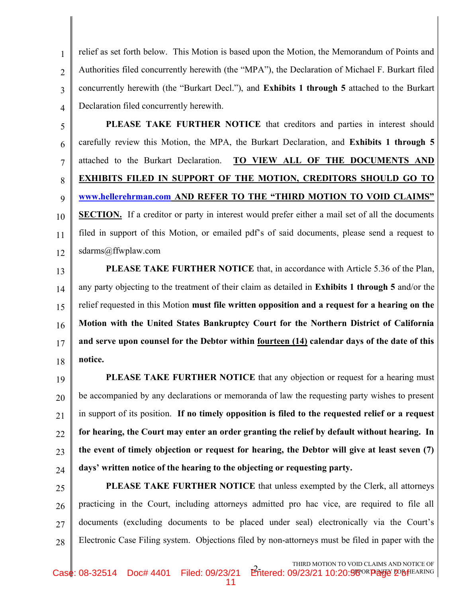1 2 3 4 relief as set forth below. This Motion is based upon the Motion, the Memorandum of Points and Authorities filed concurrently herewith (the "MPA"), the Declaration of Michael F. Burkart filed concurrently herewith (the "Burkart Decl."), and Exhibits 1 through 5 attached to the Burkart Declaration filed concurrently herewith.

5 6 7 8 9 10 11 12 PLEASE TAKE FURTHER NOTICE that creditors and parties in interest should carefully review this Motion, the MPA, the Burkart Declaration, and Exhibits 1 through 5 attached to the Burkart Declaration. TO VIEW ALL OF THE DOCUMENTS AND EXHIBITS FILED IN SUPPORT OF THE MOTION, CREDITORS SHOULD GO TO www.hellerehrman.com AND REFER TO THE "THIRD MOTION TO VOID CLAIMS" **SECTION.** If a creditor or party in interest would prefer either a mail set of all the documents filed in support of this Motion, or emailed pdf's of said documents, please send a request to sdarms@ffwplaw.com

13 14 15 16 17 18 PLEASE TAKE FURTHER NOTICE that, in accordance with Article 5.36 of the Plan, any party objecting to the treatment of their claim as detailed in Exhibits 1 through 5 and/or the relief requested in this Motion must file written opposition and a request for a hearing on the Motion with the United States Bankruptcy Court for the Northern District of California and serve upon counsel for the Debtor within <u>fourteen (14)</u> calendar days of the date of this notice.

- 19 20 21 22 23 24 PLEASE TAKE FURTHER NOTICE that any objection or request for a hearing must be accompanied by any declarations or memoranda of law the requesting party wishes to present in support of its position. If no timely opposition is filed to the requested relief or a request for hearing, the Court may enter an order granting the relief by default without hearing. In the event of timely objection or request for hearing, the Debtor will give at least seven (7) days' written notice of the hearing to the objecting or requesting party.
- 25 26 27 28 PLEASE TAKE FURTHER NOTICE that unless exempted by the Clerk, all attorneys practicing in the Court, including attorneys admitted pro hac vice, are required to file all documents (excluding documents to be placed under seal) electronically via the Court's Electronic Case Filing system. Objections filed by non-attorneys must be filed in paper with the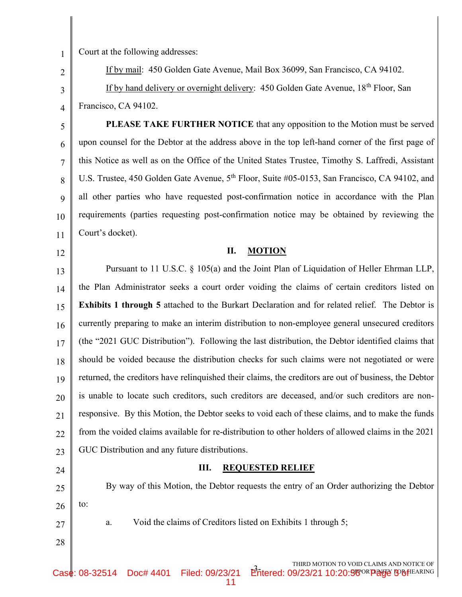Court at the following addresses:

If by mail: 450 Golden Gate Avenue, Mail Box 36099, San Francisco, CA 94102. If by hand delivery or overnight delivery: 450 Golden Gate Avenue, 18<sup>th</sup> Floor, San Francisco, CA 94102.

5 6 7 8 9 10 11 PLEASE TAKE FURTHER NOTICE that any opposition to the Motion must be served upon counsel for the Debtor at the address above in the top left-hand corner of the first page of this Notice as well as on the Office of the United States Trustee, Timothy S. Laffredi, Assistant U.S. Trustee, 450 Golden Gate Avenue, 5<sup>th</sup> Floor, Suite #05-0153, San Francisco, CA 94102, and all other parties who have requested post-confirmation notice in accordance with the Plan requirements (parties requesting post-confirmation notice may be obtained by reviewing the Court's docket).

#### 12

1

2

3

4

### II. MOTION

13 14 15 16 17 18 19 20 21 22 23 Pursuant to 11 U.S.C. § 105(a) and the Joint Plan of Liquidation of Heller Ehrman LLP, the Plan Administrator seeks a court order voiding the claims of certain creditors listed on Exhibits 1 through 5 attached to the Burkart Declaration and for related relief. The Debtor is currently preparing to make an interim distribution to non-employee general unsecured creditors (the "2021 GUC Distribution"). Following the last distribution, the Debtor identified claims that should be voided because the distribution checks for such claims were not negotiated or were returned, the creditors have relinquished their claims, the creditors are out of business, the Debtor is unable to locate such creditors, such creditors are deceased, and/or such creditors are nonresponsive. By this Motion, the Debtor seeks to void each of these claims, and to make the funds from the voided claims available for re-distribution to other holders of allowed claims in the 2021 GUC Distribution and any future distributions.

24

# III. REQUESTED RELIEF

25 26 27 By way of this Motion, the Debtor requests the entry of an Order authorizing the Debtor to: a. Void the claims of Creditors listed on Exhibits 1 through 5;

28

11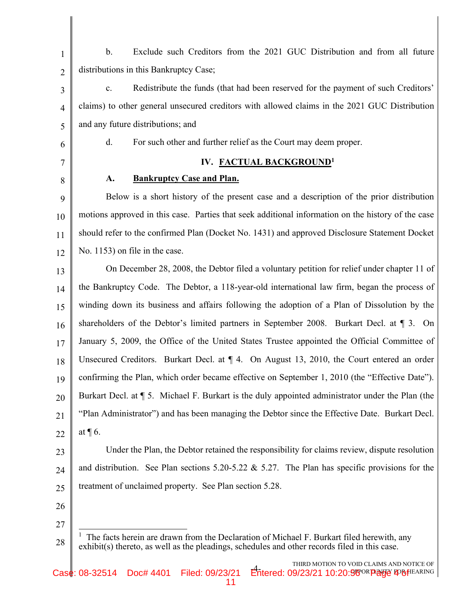| $\mathbf{1}$   | Exclude such Creditors from the 2021 GUC Distribution and from all future<br>$\mathbf b$ .                                                                                                 |  |  |
|----------------|--------------------------------------------------------------------------------------------------------------------------------------------------------------------------------------------|--|--|
| $\overline{2}$ | distributions in this Bankruptcy Case;                                                                                                                                                     |  |  |
| 3              | Redistribute the funds (that had been reserved for the payment of such Creditors'<br>c.                                                                                                    |  |  |
| $\overline{4}$ | claims) to other general unsecured creditors with allowed claims in the 2021 GUC Distribution                                                                                              |  |  |
| 5              | and any future distributions; and                                                                                                                                                          |  |  |
| 6              | d.<br>For such other and further relief as the Court may deem proper.                                                                                                                      |  |  |
| 7              | IV. FACTUAL BACKGROUND <sup>1</sup>                                                                                                                                                        |  |  |
| 8              | <b>Bankruptcy Case and Plan.</b><br>A.                                                                                                                                                     |  |  |
| 9              | Below is a short history of the present case and a description of the prior distribution                                                                                                   |  |  |
| 10             | motions approved in this case. Parties that seek additional information on the history of the case                                                                                         |  |  |
| 11             | should refer to the confirmed Plan (Docket No. 1431) and approved Disclosure Statement Docket                                                                                              |  |  |
| 12             | No. 1153) on file in the case.                                                                                                                                                             |  |  |
| 13             | On December 28, 2008, the Debtor filed a voluntary petition for relief under chapter 11 of                                                                                                 |  |  |
| 14             | the Bankruptcy Code. The Debtor, a 118-year-old international law firm, began the process of                                                                                               |  |  |
| 15             | winding down its business and affairs following the adoption of a Plan of Dissolution by the                                                                                               |  |  |
| 16             | shareholders of the Debtor's limited partners in September 2008. Burkart Decl. at $\P$ 3. On                                                                                               |  |  |
| 17             | January 5, 2009, the Office of the United States Trustee appointed the Official Committee of                                                                                               |  |  |
| 18             | Unsecured Creditors. Burkart Decl. at ¶ 4. On August 13, 2010, the Court entered an order                                                                                                  |  |  |
| 19             | confirming the Plan, which order became effective on September 1, 2010 (the "Effective Date").                                                                                             |  |  |
| 20             | Burkart Decl. at $\P$ 5. Michael F. Burkart is the duly appointed administrator under the Plan (the                                                                                        |  |  |
| 21             | "Plan Administrator") and has been managing the Debtor since the Effective Date. Burkart Decl.                                                                                             |  |  |
| 22             | at $\P$ 6.                                                                                                                                                                                 |  |  |
| 23             | Under the Plan, the Debtor retained the responsibility for claims review, dispute resolution                                                                                               |  |  |
| 24             | and distribution. See Plan sections 5.20-5.22 & 5.27. The Plan has specific provisions for the                                                                                             |  |  |
| 25             | treatment of unclaimed property. See Plan section 5.28.                                                                                                                                    |  |  |
| 26             |                                                                                                                                                                                            |  |  |
| 27             |                                                                                                                                                                                            |  |  |
| 28             | The facts herein are drawn from the Declaration of Michael F. Burkart filed herewith, any<br>exhibit(s) thereto, as well as the pleadings, schedules and other records filed in this case. |  |  |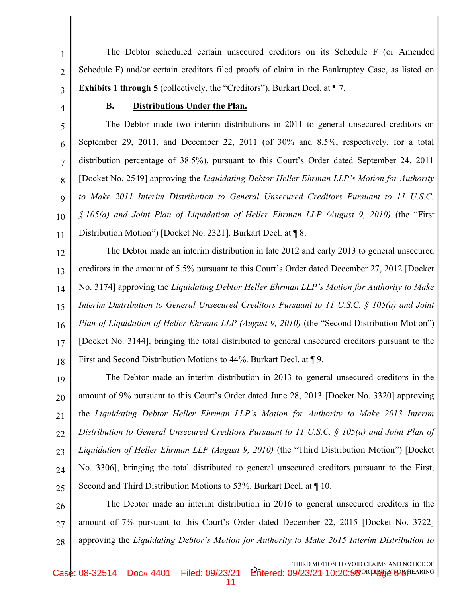The Debtor scheduled certain unsecured creditors on its Schedule F (or Amended Schedule F) and/or certain creditors filed proofs of claim in the Bankruptcy Case, as listed on Exhibits 1 through 5 (collectively, the "Creditors"). Burkart Decl. at ¶ 7.

3 4

1

2

## B. Distributions Under the Plan.

5 6 7 8 9 10 11 The Debtor made two interim distributions in 2011 to general unsecured creditors on September 29, 2011, and December 22, 2011 (of 30% and 8.5%, respectively, for a total distribution percentage of 38.5%), pursuant to this Court's Order dated September 24, 2011 [Docket No. 2549] approving the Liquidating Debtor Heller Ehrman LLP's Motion for Authority to Make 2011 Interim Distribution to General Unsecured Creditors Pursuant to 11 U.S.C.  $\frac{6}{105}$  and Joint Plan of Liquidation of Heller Ehrman LLP (August 9, 2010) (the "First Distribution Motion") [Docket No. 2321]. Burkart Decl. at ¶ 8.

12 13 14 15 16 17 18 The Debtor made an interim distribution in late 2012 and early 2013 to general unsecured creditors in the amount of 5.5% pursuant to this Court's Order dated December 27, 2012 [Docket No. 3174] approving the Liquidating Debtor Heller Ehrman LLP's Motion for Authority to Make Interim Distribution to General Unsecured Creditors Pursuant to 11 U.S.C. § 105(a) and Joint Plan of Liquidation of Heller Ehrman LLP (August 9, 2010) (the "Second Distribution Motion") [Docket No. 3144], bringing the total distributed to general unsecured creditors pursuant to the First and Second Distribution Motions to 44%. Burkart Decl. at ¶ 9.

19 20 21 22 23 24 25 The Debtor made an interim distribution in 2013 to general unsecured creditors in the amount of 9% pursuant to this Court's Order dated June 28, 2013 [Docket No. 3320] approving the Liquidating Debtor Heller Ehrman LLP's Motion for Authority to Make 2013 Interim Distribution to General Unsecured Creditors Pursuant to 11 U.S.C.  $\oint$  105(a) and Joint Plan of Liquidation of Heller Ehrman LLP (August 9, 2010) (the "Third Distribution Motion") [Docket No. 3306], bringing the total distributed to general unsecured creditors pursuant to the First, Second and Third Distribution Motions to 53%. Burkart Decl. at ¶ 10.

26 27 28 The Debtor made an interim distribution in 2016 to general unsecured creditors in the amount of 7% pursuant to this Court's Order dated December 22, 2015 [Docket No. 3722] approving the Liquidating Debtor's Motion for Authority to Make 2015 Interim Distribution to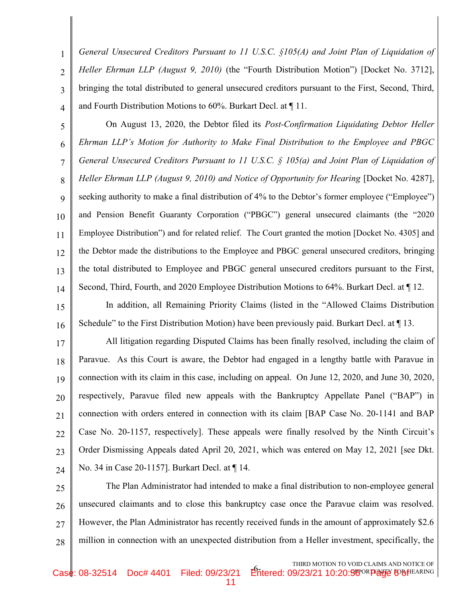General Unsecured Creditors Pursuant to 11 U.S.C. §105(A) and Joint Plan of Liquidation of Heller Ehrman LLP (August 9, 2010) (the "Fourth Distribution Motion") [Docket No. 3712], bringing the total distributed to general unsecured creditors pursuant to the First, Second, Third, and Fourth Distribution Motions to 60%. Burkart Decl. at ¶ 11.

1

2

3

4

5 6 7 8 9 10 11 12 13 14 On August 13, 2020, the Debtor filed its Post-Confirmation Liquidating Debtor Heller Ehrman LLP's Motion for Authority to Make Final Distribution to the Employee and PBGC General Unsecured Creditors Pursuant to 11 U.S.C. § 105(a) and Joint Plan of Liquidation of Heller Ehrman LLP (August 9, 2010) and Notice of Opportunity for Hearing [Docket No. 4287], seeking authority to make a final distribution of 4% to the Debtor's former employee ("Employee") and Pension Benefit Guaranty Corporation ("PBGC") general unsecured claimants (the "2020 Employee Distribution") and for related relief. The Court granted the motion [Docket No. 4305] and the Debtor made the distributions to the Employee and PBGC general unsecured creditors, bringing the total distributed to Employee and PBGC general unsecured creditors pursuant to the First, Second, Third, Fourth, and 2020 Employee Distribution Motions to 64%. Burkart Decl. at ¶ 12.

15 16 In addition, all Remaining Priority Claims (listed in the "Allowed Claims Distribution Schedule" to the First Distribution Motion) have been previously paid. Burkart Decl. at  $\P$  13.

17 18 19 20 21 22 23 24 All litigation regarding Disputed Claims has been finally resolved, including the claim of Paravue. As this Court is aware, the Debtor had engaged in a lengthy battle with Paravue in connection with its claim in this case, including on appeal. On June 12, 2020, and June 30, 2020, respectively, Paravue filed new appeals with the Bankruptcy Appellate Panel ("BAP") in connection with orders entered in connection with its claim [BAP Case No. 20-1141 and BAP Case No. 20-1157, respectively]. These appeals were finally resolved by the Ninth Circuit's Order Dismissing Appeals dated April 20, 2021, which was entered on May 12, 2021 [see Dkt. No. 34 in Case 20-1157]. Burkart Decl. at ¶ 14.

25 26 27 28 The Plan Administrator had intended to make a final distribution to non-employee general unsecured claimants and to close this bankruptcy case once the Paravue claim was resolved. However, the Plan Administrator has recently received funds in the amount of approximately \$2.6 million in connection with an unexpected distribution from a Heller investment, specifically, the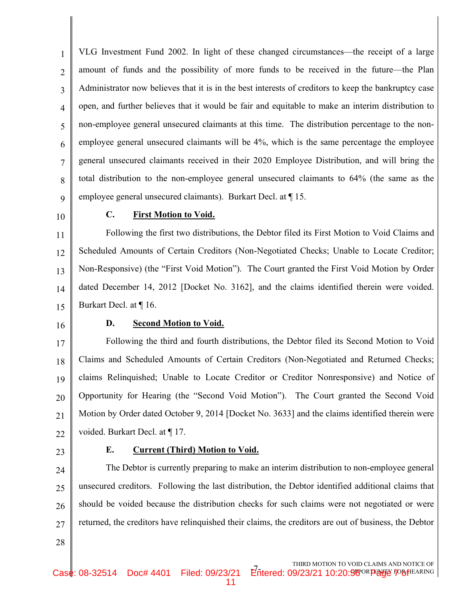1 2 3 4 5 6 7 8 9 VLG Investment Fund 2002. In light of these changed circumstances—the receipt of a large amount of funds and the possibility of more funds to be received in the future—the Plan Administrator now believes that it is in the best interests of creditors to keep the bankruptcy case open, and further believes that it would be fair and equitable to make an interim distribution to non-employee general unsecured claimants at this time. The distribution percentage to the nonemployee general unsecured claimants will be 4%, which is the same percentage the employee general unsecured claimants received in their 2020 Employee Distribution, and will bring the total distribution to the non-employee general unsecured claimants to 64% (the same as the employee general unsecured claimants). Burkart Decl. at ¶ 15.

10

## C. First Motion to Void.

11 12 13 14 15 Following the first two distributions, the Debtor filed its First Motion to Void Claims and Scheduled Amounts of Certain Creditors (Non-Negotiated Checks; Unable to Locate Creditor; Non-Responsive) (the "First Void Motion"). The Court granted the First Void Motion by Order dated December 14, 2012 [Docket No. 3162], and the claims identified therein were voided. Burkart Decl. at ¶ 16.

16

#### D. Second Motion to Void.

17 18 19 20 21 22 Following the third and fourth distributions, the Debtor filed its Second Motion to Void Claims and Scheduled Amounts of Certain Creditors (Non-Negotiated and Returned Checks; claims Relinquished; Unable to Locate Creditor or Creditor Nonresponsive) and Notice of Opportunity for Hearing (the "Second Void Motion"). The Court granted the Second Void Motion by Order dated October 9, 2014 [Docket No. 3633] and the claims identified therein were voided. Burkart Decl. at ¶ 17.

23

## E. Current (Third) Motion to Void.

24 25 26 27 The Debtor is currently preparing to make an interim distribution to non-employee general unsecured creditors. Following the last distribution, the Debtor identified additional claims that should be voided because the distribution checks for such claims were not negotiated or were returned, the creditors have relinquished their claims, the creditors are out of business, the Debtor

28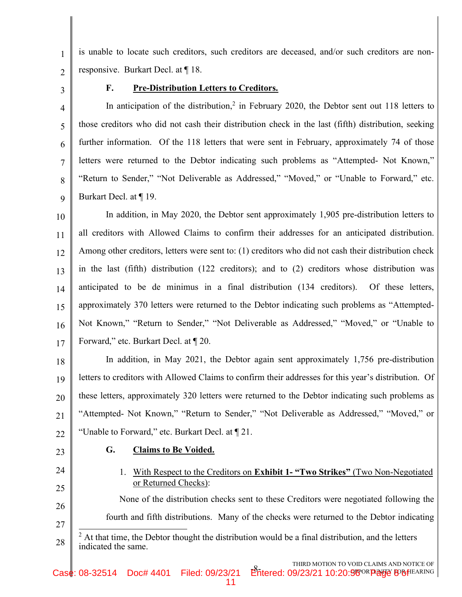is unable to locate such creditors, such creditors are deceased, and/or such creditors are nonresponsive. Burkart Decl. at ¶ 18.

3

1

2

## F. Pre-Distribution Letters to Creditors.

4 5 6 7 8 9 In anticipation of the distribution,<sup>2</sup> in February 2020, the Debtor sent out 118 letters to those creditors who did not cash their distribution check in the last (fifth) distribution, seeking further information. Of the 118 letters that were sent in February, approximately 74 of those letters were returned to the Debtor indicating such problems as "Attempted- Not Known," "Return to Sender," "Not Deliverable as Addressed," "Moved," or "Unable to Forward," etc. Burkart Decl. at ¶ 19.

10 11 12 13 14 15 16 17 In addition, in May 2020, the Debtor sent approximately 1,905 pre-distribution letters to all creditors with Allowed Claims to confirm their addresses for an anticipated distribution. Among other creditors, letters were sent to: (1) creditors who did not cash their distribution check in the last (fifth) distribution (122 creditors); and to (2) creditors whose distribution was anticipated to be de minimus in a final distribution (134 creditors). Of these letters, approximately 370 letters were returned to the Debtor indicating such problems as "Attempted-Not Known," "Return to Sender," "Not Deliverable as Addressed," "Moved," or "Unable to Forward," etc. Burkart Decl. at ¶ 20.

18 19 20 21 22 In addition, in May 2021, the Debtor again sent approximately 1,756 pre-distribution letters to creditors with Allowed Claims to confirm their addresses for this year's distribution. Of these letters, approximately 320 letters were returned to the Debtor indicating such problems as "Attempted- Not Known," "Return to Sender," "Not Deliverable as Addressed," "Moved," or "Unable to Forward," etc. Burkart Decl. at ¶ 21.

23

## G. Claims to Be Voided.

24 25

## 1. With Respect to the Creditors on Exhibit 1- "Two Strikes" (Two Non-Negotiated or Returned Checks):

26

27

None of the distribution checks sent to these Creditors were negotiated following the fourth and fifth distributions. Many of the checks were returned to the Debtor indicating

<sup>28</sup>   $2$  At that time, the Debtor thought the distribution would be a final distribution, and the letters indicated the same.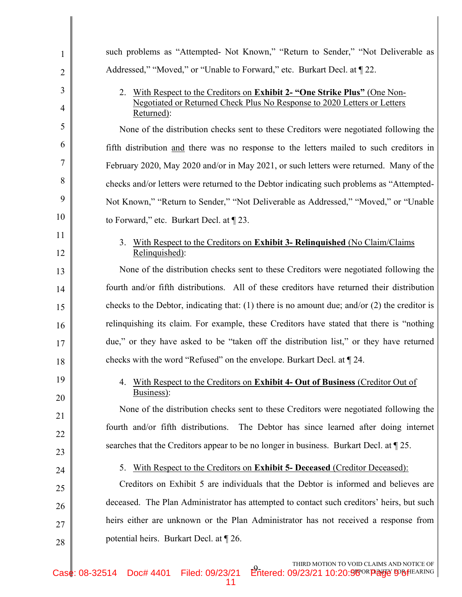| 1              | such problems as "Attempted- Not Known," "Return to Sender," "Not Deliverable as                  |
|----------------|---------------------------------------------------------------------------------------------------|
| $\overline{2}$ | Addressed," "Moved," or "Unable to Forward," etc. Burkart Decl. at 122.                           |
| 3              | 2. With Respect to the Creditors on Exhibit 2- "One Strike Plus" (One Non-                        |
| 4              | Negotiated or Returned Check Plus No Response to 2020 Letters or Letters<br>Returned):            |
| 5              | None of the distribution checks sent to these Creditors were negotiated following the             |
| 6              |                                                                                                   |
| 7              | fifth distribution and there was no response to the letters mailed to such creditors in           |
|                | February 2020, May 2020 and/or in May 2021, or such letters were returned. Many of the            |
| 8              | checks and/or letters were returned to the Debtor indicating such problems as "Attempted-         |
| 9              | Not Known," "Return to Sender," "Not Deliverable as Addressed," "Moved," or "Unable               |
| 10             | to Forward," etc. Burkart Decl. at $\P$ 23.                                                       |
| 11             | 3.<br>With Respect to the Creditors on Exhibit 3- Relinquished (No Claim/Claims)                  |
| 12             | Relinquished):                                                                                    |
| 13             | None of the distribution checks sent to these Creditors were negotiated following the             |
| 14             | fourth and/or fifth distributions. All of these creditors have returned their distribution        |
| 15             | checks to the Debtor, indicating that: (1) there is no amount due; and/or (2) the creditor is     |
| 16             | relinquishing its claim. For example, these Creditors have stated that there is "nothing          |
| 17             | due," or they have asked to be "taken off the distribution list," or they have returned           |
| 18             | checks with the word "Refused" on the envelope. Burkart Decl. at $\P$ 24.                         |
| 19             | 4. With Respect to the Creditors on Exhibit 4- Out of Business (Creditor Out of                   |
| 20             | Business):                                                                                        |
| 21             | None of the distribution checks sent to these Creditors were negotiated following the             |
| 22             | fourth and/or fifth distributions. The Debtor has since learned after doing internet              |
| 23             | searches that the Creditors appear to be no longer in business. Burkart Decl. at $\mathbb{I}$ 25. |
| 24             | With Respect to the Creditors on Exhibit 5- Deceased (Creditor Deceased):<br>5.                   |
| 25             | Creditors on Exhibit 5 are individuals that the Debtor is informed and believes are               |
| 26             | deceased. The Plan Administrator has attempted to contact such creditors' heirs, but such         |
| 27             | heirs either are unknown or the Plan Administrator has not received a response from               |
| 28             | potential heirs. Burkart Decl. at $\P$ 26.                                                        |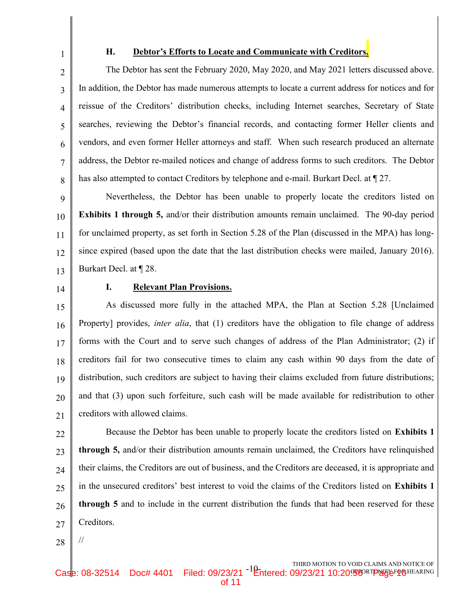1

2

3

5

6

7

8

#### H. Debtor's Efforts to Locate and Communicate with Creditors.

4 The Debtor has sent the February 2020, May 2020, and May 2021 letters discussed above. In addition, the Debtor has made numerous attempts to locate a current address for notices and for reissue of the Creditors' distribution checks, including Internet searches, Secretary of State searches, reviewing the Debtor's financial records, and contacting former Heller clients and vendors, and even former Heller attorneys and staff. When such research produced an alternate address, the Debtor re-mailed notices and change of address forms to such creditors. The Debtor has also attempted to contact Creditors by telephone and e-mail. Burkart Decl. at ¶ 27.

9 10 11 12 13 Nevertheless, the Debtor has been unable to properly locate the creditors listed on Exhibits 1 through 5, and/or their distribution amounts remain unclaimed. The 90-day period for unclaimed property, as set forth in Section 5.28 of the Plan (discussed in the MPA) has longsince expired (based upon the date that the last distribution checks were mailed, January 2016). Burkart Decl. at ¶ 28.

14

#### I. Relevant Plan Provisions.

15 16 17 18 19 20 21 As discussed more fully in the attached MPA, the Plan at Section 5.28 [Unclaimed Property] provides, *inter alia*, that (1) creditors have the obligation to file change of address forms with the Court and to serve such changes of address of the Plan Administrator; (2) if creditors fail for two consecutive times to claim any cash within 90 days from the date of distribution, such creditors are subject to having their claims excluded from future distributions; and that (3) upon such forfeiture, such cash will be made available for redistribution to other creditors with allowed claims.

22 23 24 25 26 27 Because the Debtor has been unable to properly locate the creditors listed on Exhibits 1 through 5, and/or their distribution amounts remain unclaimed, the Creditors have relinquished their claims, the Creditors are out of business, and the Creditors are deceased, it is appropriate and in the unsecured creditors' best interest to void the claims of the Creditors listed on Exhibits 1 through 5 and to include in the current distribution the funds that had been reserved for these Creditors.

28

//